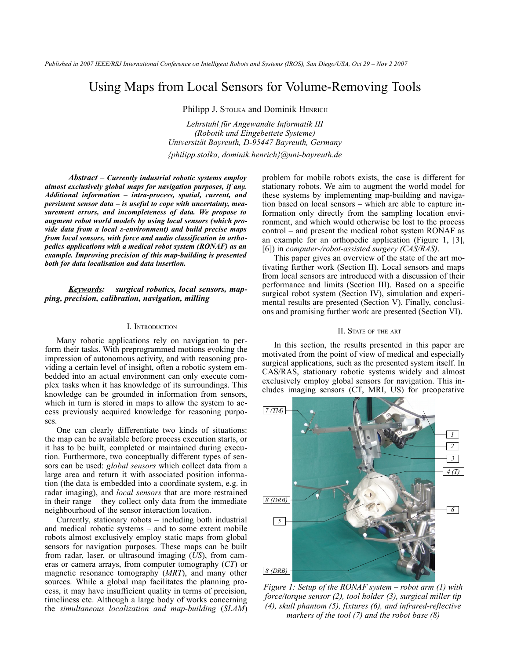# Using Maps from Local Sensors for Volume-Removing Tools

Philipp J. STOLKA and Dominik HENRICH

*Lehrstuhl für Angewandte Informatik III (Robotik und Eingebettete Systeme) Universität Bayreuth, D-95447 Bayreuth, Germany {philipp.stolka, dominik.henrich}@uni-bayreuth.de*

*Abstract – Currently industrial robotic systems employ almost exclusively global maps for navigation purposes, if any. Additional information – intra-process, spatial, current, and persistent sensor data – is useful to cope with uncertainty, measurement errors, and incompleteness of data. We propose to augment robot world models by using local sensors (which provide data from a local ε-environment) and build precise maps from local sensors, with force and audio classification in orthopedics applications with a medical robot system (RONAF) as an example. Improving precision of this map-building is presented both for data localisation and data insertion.*

*Keywords: surgical robotics, local sensors, mapping, precision, calibration, navigation, milling*

#### I. INTRODUCTION

Many robotic applications rely on navigation to perform their tasks. With preprogrammed motions evoking the impression of autonomous activity, and with reasoning providing a certain level of insight, often a robotic system embedded into an actual environment can only execute complex tasks when it has knowledge of its surroundings. This knowledge can be grounded in information from sensors, which in turn is stored in maps to allow the system to access previously acquired knowledge for reasoning purposes.

One can clearly differentiate two kinds of situations: the map can be available before process execution starts, or it has to be built, completed or maintained during execution. Furthermore, two conceptually different types of sensors can be used: *global sensors* which collect data from a large area and return it with associated position information (the data is embedded into a coordinate system, e.g. in radar imaging), and *local sensors* that are more restrained in their range – they collect only data from the immediate neighbourhood of the sensor interaction location.

Currently, stationary robots – including both industrial and medical robotic systems – and to some extent mobile robots almost exclusively employ static maps from global sensors for navigation purposes. These maps can be built from radar, laser, or ultrasound imaging (*US*), from cameras or camera arrays, from computer tomography (*CT*) or magnetic resonance tomography (*MRT*), and many other sources. While a global map facilitates the planning process, it may have insufficient quality in terms of precision, timeliness etc. Although a large body of works concerning the *simultaneous localization and map-building* (*SLAM*)

problem for mobile robots exists, the case is different for stationary robots. We aim to augment the world model for these systems by implementing map-building and navigation based on local sensors – which are able to capture information only directly from the sampling location environment, and which would otherwise be lost to the process control – and present the medical robot system RONAF as an example for an orthopedic application (Figure 1, [3], [6]) in *computer-/robot-assisted surgery (CAS/RAS)*.

This paper gives an overview of the state of the art motivating further work (Section II). Local sensors and maps from local sensors are introduced with a discussion of their performance and limits (Section III). Based on a specific surgical robot system (Section IV), simulation and experimental results are presented (Section V). Finally, conclusions and promising further work are presented (Section VI).

# II. STATE OF THE ART

In this section, the results presented in this paper are motivated from the point of view of medical and especially surgical applications, such as the presented system itself. In CAS/RAS, stationary robotic systems widely and almost exclusively employ global sensors for navigation. This includes imaging sensors (CT, MRI, US) for preoperative



*Figure 1: Setup of the RONAF system – robot arm (1) with force/torque sensor (2), tool holder (3), surgical miller tip (4), skull phantom (5), fixtures (6), and infrared-reflective markers of the tool (7) and the robot base (8)*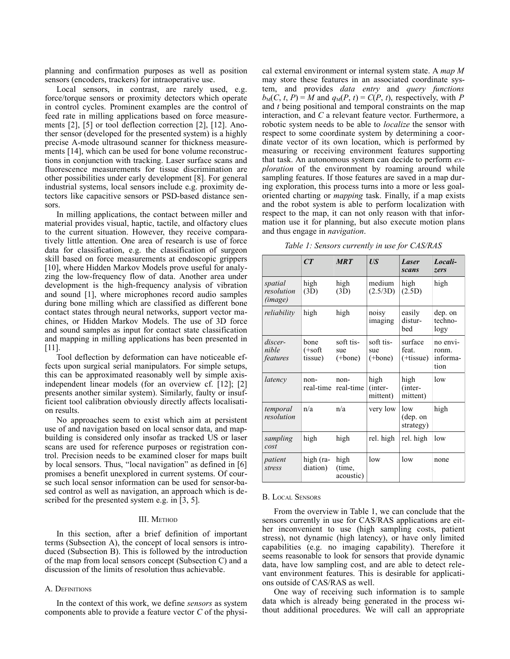planning and confirmation purposes as well as position sensors (encoders, trackers) for intraoperative use.

Local sensors, in contrast, are rarely used, e.g. force/torque sensors or proximity detectors which operate in control cycles. Prominent examples are the control of feed rate in milling applications based on force measurements [2], [5] or tool deflection correction [2], [12]. Another sensor (developed for the presented system) is a highly precise A-mode ultrasound scanner for thickness measurements [14], which can be used for bone volume reconstructions in conjunction with tracking. Laser surface scans and fluorescence measurements for tissue discrimination are other possibilities under early development [8]. For general industrial systems, local sensors include e.g. proximity detectors like capacitive sensors or PSD-based distance sensors.

In milling applications, the contact between miller and material provides visual, haptic, tactile, and olfactory clues to the current situation. However, they receive comparatively little attention. One area of research is use of force data for classification, e.g. the classification of surgeon skill based on force measurements at endoscopic grippers [10], where Hidden Markov Models prove useful for analyzing the low-frequency flow of data. Another area under development is the high-frequency analysis of vibration and sound [1], where microphones record audio samples during bone milling which are classified as different bone contact states through neural networks, support vector machines, or Hidden Markov Models. The use of 3D force and sound samples as input for contact state classification and mapping in milling applications has been presented in [11].

Tool deflection by deformation can have noticeable effects upon surgical serial manipulators. For simple setups, this can be approximated reasonably well by simple axisindependent linear models (for an overview cf. [12]; [2] presents another similar system). Similarly, faulty or insufficient tool calibration obviously directly affects localisation results.

No approaches seem to exist which aim at persistent use of and navigation based on local sensor data, and mapbuilding is considered only insofar as tracked US or laser scans are used for reference purposes or registration control. Precision needs to be examined closer for maps built by local sensors. Thus, "local navigation" as defined in [6] promises a benefit unexplored in current systems. Of course such local sensor information can be used for sensor-based control as well as navigation, an approach which is described for the presented system e.g. in [3, 5].

## III. METHOD

In this section, after a brief definition of important terms (Subsection A), the concept of local sensors is introduced (Subsection B). This is followed by the introduction of the map from local sensors concept (Subsection C) and a discussion of the limits of resolution thus achievable.

# A. DEFINITIONS

In the context of this work, we define *sensors* as system components able to provide a feature vector *C* of the physical external environment or internal system state. A *map M* may store these features in an associated coordinate system, and provides *data entry* and *query functions*  $b_M(C, t, P) = M$  and  $q_M(P, t) = C(P, t)$ , respectively, with *P* and *t* being positional and temporal constraints on the map interaction, and *C* a relevant feature vector. Furthermore, a robotic system needs to be able to *localize* the sensor with respect to some coordinate system by determining a coordinate vector of its own location, which is performed by measuring or receiving environment features supporting that task. An autonomous system can decide to perform *exploration* of the environment by roaming around while sampling features. If those features are saved in a map during exploration, this process turns into a more or less goaloriented charting or *mapping* task. Finally, if a map exists and the robot system is able to perform localization with respect to the map, it can not only reason with that information use it for planning, but also execute motion plans and thus engage in *navigation*.

|                                  | CT                           | <b>MRT</b>                    | $\overline{US}$               | Laser<br>scans                  | Locali-<br>zers                       |
|----------------------------------|------------------------------|-------------------------------|-------------------------------|---------------------------------|---------------------------------------|
| spatial<br>resolution<br>(image) | high<br>(3D)                 | high<br>(3D)                  | medium<br>(2.5/3D)            | high<br>(2.5D)                  | high                                  |
| reliability                      | high                         | high                          | noisy<br>imaging              | easily<br>distur-<br>bed        | dep. on<br>techno-<br>logy            |
| discer-<br>nible<br>features     | bone<br>$(+$ soft<br>tissue) | soft tis-<br>sue<br>$(+bone)$ | soft tis-<br>sue<br>$(+bone)$ | surface<br>feat.<br>$(+tissue)$ | no envi-<br>ronm.<br>informa-<br>tion |
| latency                          | non-<br>real-time            | non-<br>real-time             | high<br>(inter-<br>mittent)   | high<br>(inter-<br>mittent)     | low                                   |
| temporal<br>resolution           | n/a                          | n/a                           | very low                      | low<br>(dep. on<br>strategy)    | high                                  |
| sampling<br>cost                 | high                         | high                          | rel. high                     | rel. high                       | low                                   |
| patient<br>stress                | high (ra-<br>diation)        | high<br>(time,<br>acoustic)   | low                           | low                             | none                                  |

## B. LOCAL SENSORS

From the overview in Table 1, we can conclude that the sensors currently in use for CAS/RAS applications are either inconvenient to use (high sampling costs, patient stress), not dynamic (high latency), or have only limited capabilities (e.g. no imaging capability). Therefore it seems reasonable to look for sensors that provide dynamic data, have low sampling cost, and are able to detect relevant environment features. This is desirable for applications outside of CAS/RAS as well.

One way of receiving such information is to sample data which is already being generated in the process without additional procedures. We will call an appropriate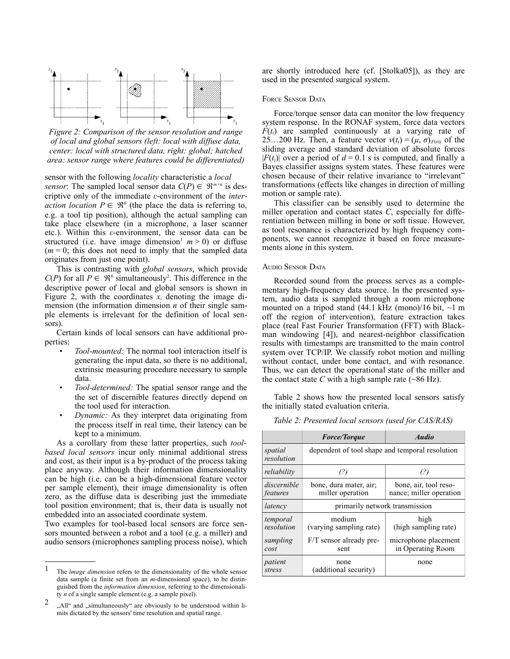

*Figure 2: Comparison of the sensor resolution and range of local and global sensors (left: local with diffuse data, center: local with structured data, right: global; hatched area: sensor range where features could be differentiated)*

sensor with the following *locality* characteristic a *local sensor*: The sampled local sensor data  $C(P) \in \mathbb{R}^{m \times n}$  is descriptive only of the immediate *ε*-environment of the *interaction location*  $P \in \mathbb{R}^6$  (the place the data is referring to, e.g. a tool tip position), although the actual sampling can take place elsewhere (in a microphone, a laser scanner etc.). Within this *ε*-environment, the sensor data can be structured (i.e. have image dimension<sup>1</sup>  $m > 0$ ) or diffuse  $(m = 0;$  this does not need to imply that the sampled data originates from just one point).

This is contrasting with *global sensors*, which provide  $C(P)$  for all  $P \in \mathbb{R}^6$  simultaneously<sup>2</sup>. This difference in the descriptive power of local and global sensors is shown in Figure 2, with the coordinates  $x_i$  denoting the image dimension (the information dimension *n* of their single sample elements is irrelevant for the definition of local sensors).

Certain kinds of local sensors can have additional properties:

- *Tool-mounted:* The normal tool interaction itself is generating the input data, so there is no additional, extrinsic measuring procedure necessary to sample data.
- *Tool-determined:* The spatial sensor range and the the set of discernible features directly depend on the tool used for interaction.
- *Dynamic:* As they interpret data originating from the process itself in real time, their latency can be kept to a minimum.

As a corollary from these latter properties, such *toolbased local sensors* incur only minimal additional stress and cost, as their input is a by-product of the process taking place anyway. Although their information dimensionality can be high (i.e. can be a high-dimensional feature vector per sample element), their image dimensionality is often zero, as the diffuse data is describing just the immediate tool position environment; that is, their data is usually not embedded into an associated coordinate system.

Two examples for tool-based local sensors are force sensors mounted between a robot and a tool (e.g. a miller) and audio sensors (microphones sampling process noise), which are shortly introduced here (cf. [Stolka05]), as they are used in the presented surgical system.

## FORCE SENSOR DATA

Force/torque sensor data can monitor the low frequency system response. In the RONAF system, force data vectors  $F(t_i)$  are sampled continuously at a varying rate of 25...200 Hz. Then, a feature vector  $v(t_i) = (\mu, \sigma)_{F(t_i)}$  of the sliding average and standard deviation of absolute forces  $|F(t_i)|$  over a period of  $d = 0.1$  s is computed, and finally a Bayes classifier assigns system states. These features were chosen because of their relative invariance to "irrelevant" transformations (effects like changes in direction of milling motion or sample rate).

This classifier can be sensibly used to determine the miller operation and contact states *C*, especially for differentiation between milling in bone or soft tissue. However, as tool resonance is characterized by high frequency components, we cannot recognize it based on force measurements alone in this system.

#### AUDIO SENSOR DATA

Recorded sound from the process serves as a complementary high-frequency data source. In the presented system, audio data is sampled through a room microphone mounted on a tripod stand  $(44.1 \text{ kHz } (mono)/16 \text{ bit}, \sim 1 \text{ m}$ off the region of intervention), feature extraction takes place (real Fast Fourier Transformation (FFT) with Blackman windowing [4]), and nearest-neighbor classification results with timestamps are transmitted to the main control system over TCP/IP. We classify robot motion and milling without contact, under bone contact, and with resonance. Thus, we can detect the operational state of the miller and the contact state *C* with a high sample rate  $(\sim 86 \text{ Hz})$ .

Table 2 shows how the presented local sensors satisfy the initially stated evaluation criteria.

*Table 2: Presented local sensors (used for CAS/RAS)*

|                         | <b>Force/Torque</b>                             | <b>Audio</b>                                     |  |  |
|-------------------------|-------------------------------------------------|--------------------------------------------------|--|--|
| spatial<br>resolution   | dependent of tool shape and temporal resolution |                                                  |  |  |
| reliability             | (?)                                             | (?)                                              |  |  |
| discernible<br>features | bone, dura mater, air;<br>miller operation      | bone, air, tool reso-<br>nance; miller operation |  |  |
| latency                 | primarily network transmission                  |                                                  |  |  |
| temporal<br>resolution  | medium<br>(varying sampling rate)               | high<br>(high sampling rate)                     |  |  |
| sampling<br>cost        | F/T sensor already pre-<br>sent                 | microphone placement<br>in Operating Room        |  |  |
| patient<br>stress       | none<br>(additional security)                   | none                                             |  |  |

<sup>1</sup> The *image dimension* refers to the dimensionality of the whole sensor data sample (a finite set from an *m*-dimensional space), to be distinguished from the *information dimension*, referring to the dimensionality *n* of a single sample element (e.g. a sample pixel).

<sup>2</sup>  $\mu$ , All<sup>"</sup> and  $\mu$ , simultaneously" are obviously to be understood within limits dictated by the sensors' time resolution and spatial range.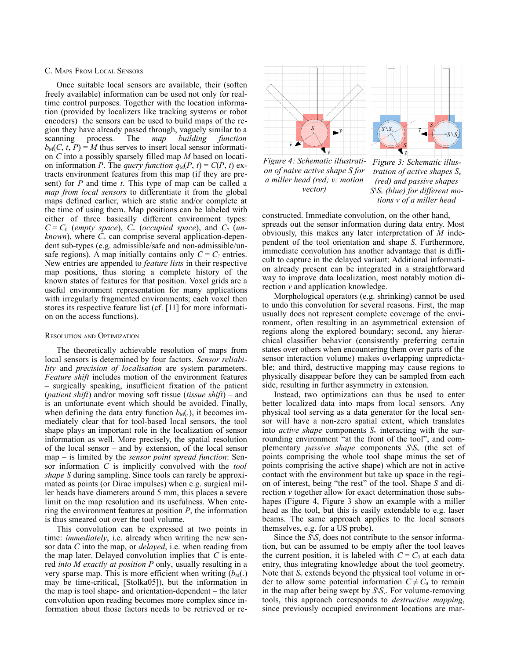# C. MAPS FROM LOCAL SENSORS

Once suitable local sensors are available, their (soften freely available) information can be used not only for realtime control purposes. Together with the location information (provided by localizers like tracking systems or robot encoders) the sensors can be used to build maps of the region they have already passed through, vaguely similar to a scanning process. The *map building function*  $b_M(C, t, P) = M$  thus serves to insert local sensor information *C* into a possibly sparsely filled map *M* based on location information *P*. The *query function*  $q_M(P, t) = C(P, t)$  extracts environment features from this map (if they are present) for *P* and time *t*. This type of map can be called a *map from local sensors* to differentiate it from the global maps defined earlier, which are static and/or complete at the time of using them. Map positions can be labeled with either of three basically different environment types:  $C = C_0$  (empty space),  $C_+$  (occupied space), and  $C_2$  (un*known*), where  $\tilde{C}_+$  can comprise several application-dependent sub-types (e.g. admissible/safe and non-admissible/unsafe regions). A map initially contains only  $C = C_2$  entries. New entries are appended to *feature lists* in their respective map positions, thus storing a complete history of the known states of features for that position. Voxel grids are a useful environment representation for many applications with irregularly fragmented environments; each voxel then stores its respective feature list (cf. [11] for more information on the access functions).

## RESOLUTION AND OPTIMIZATION

The theoretically achievable resolution of maps from local sensors is determined by four factors. *Sensor reliability* and *precision of localisation* are system parameters. *Feature shift* includes motion of the environment features *–* surgically speaking, insufficient fixation of the patient (*patient shift*) and/or moving soft tissue (*tissue shift*) – and is an unfortunate event which should be avoided. Finally, when defining the data entry function  $b_M(.)$ , it becomes immediately clear that for tool-based local sensors, the tool shape plays an important role in the localization of sensor information as well. More precisely, the spatial resolution of the local sensor – and by extension, of the local sensor map – is limited by the *sensor point spread function*: Sensor information *C* is implicitly convolved with the *tool shape S* during sampling. Since tools can rarely be approximated as points (or Dirac impulses) when e.g. surgical miller heads have diameters around 5 mm, this places a severe limit on the map resolution and its usefulness. When entering the environment features at position *P*, the information is thus smeared out over the tool volume.

This convolution can be expressed at two points in time: *immediately*, i.e. already when writing the new sensor data *C* into the map, or *delayed*, i.e. when reading from the map later. Delayed convolution implies that *C* is entered *into M exactly at position P* only, usually resulting in a very sparse map. This is more efficient when writing  $(b_M)$ . may be time-critical, [Stolka05]), but the information in the map is tool shape- and orientation-dependent – the later convolution upon reading becomes more complex since information about those factors needs to be retrieved or re-





*Figure 4: Schematic illustration of naive active shape S for a miller head (red; v: motion vector)*

*Figure 3: Schematic illustration of active shapes*  $S_v$ *(red) and passive shapes S\Sv (blue) for different motions v of a miller head*

constructed. Immediate convolution, on the other hand, spreads out the sensor information during data entry. Most obviously, this makes any later interpretation of *M* independent of the tool orientation and shape *S*. Furthermore, immediate convolution has another advantage that is difficult to capture in the delayed variant: Additional information already present can be integrated in a straightforward way to improve data localization, most notably motion direction *v* and application knowledge.

Morphological operators (e.g. shrinking) cannot be used to undo this convolution for several reasons. First, the map usually does not represent complete coverage of the environment, often resulting in an asymmetrical extension of regions along the explored boundary; second, any hierarchical classifier behavior (consistently preferring certain states over others when encountering them over parts of the sensor interaction volume) makes overlapping unpredictable; and third, destructive mapping may cause regions to physically disappear before they can be sampled from each side, resulting in further asymmetry in extension.

Instead, two optimizations can thus be used to enter better localized data into maps from local sensors. Any physical tool serving as a data generator for the local sensor will have a non-zero spatial extent, which translates into *active shape* components *S*<sup>v</sup> interacting with the surrounding environment "at the front of the tool", and complementary *passive shape* components *S*\*S*<sup>v</sup> (the set of points comprising the whole tool shape minus the set of points comprising the active shape) which are not in active contact with the environment but take up space in the region of interest, being "the rest" of the tool. Shape *S* and direction *v* together allow for exact determination those subshapes (Figure 4, Figure 3 show an example with a miller head as the tool, but this is easily extendable to e.g. laser beams. The same approach applies to the local sensors themselves, e.g. for a US probe).

Since the  $S\mathcal{S}_v$  does not contribute to the sensor information, but can be assumed to be empty after the tool leaves the current position, it is labeled with  $C = C_0$  at each data entry, thus integrating knowledge about the tool geometry. Note that  $S_v$  extends beyond the physical tool volume in order to allow some potential information  $C \neq C_0$  to remain in the map after being swept by *S*\*S*v. For volume-removing tools, this approach corresponds to *destructive mapping*, since previously occupied environment locations are mar-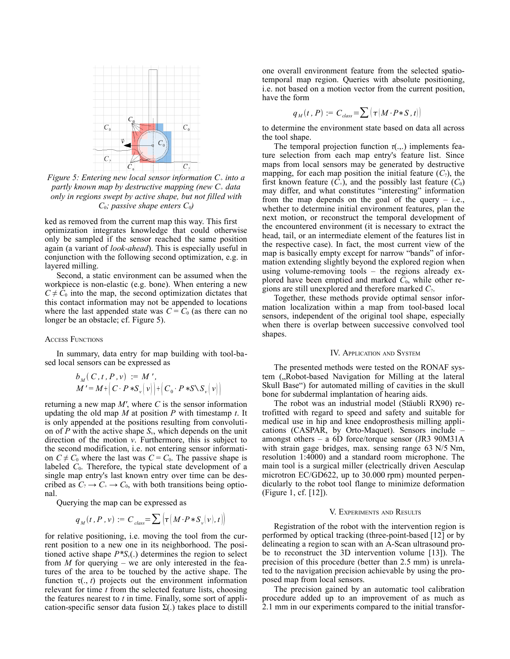

*Figure 5: Entering new local sensor information C+ into a partly known map by destructive mapping (new C+ data only in regions swept by active shape, but not filled with*  $C_0$ ; passive shape enters  $C_0$ )

ked as removed from the current map this way. This first optimization integrates knowledge that could otherwise only be sampled if the sensor reached the same position again (a variant of *look-ahead*). This is especially useful in conjunction with the following second optimization, e.g. in layered milling.

Second, a static environment can be assumed when the workpiece is non-elastic (e.g. bone). When entering a new  $C \neq C_0$  into the map, the second optimization dictates that this contact information may not be appended to locations where the last appended state was  $C = C_0$  (as there can no longer be an obstacle; cf. Figure 5).

# ACCESS FUNCTIONS

In summary, data entry for map building with tool-based local sensors can be expressed as

$$
b_M(C, t, P, v) := M',
$$
  

$$
M' = M + (C \cdot P * S_v |v|) + (C_0 \cdot P * S \setminus S_v |v|)
$$

returning a new map *M'*, where *C* is the sensor information updating the old map *M* at position *P* with timestamp *t*. It is only appended at the positions resulting from convolution of *P* with the active shape *S*v, which depends on the unit direction of the motion *v*. Furthermore, this is subject to the second modification, i.e. not entering sensor information  $C \neq C_0$  where the last was  $C = C_0$ . The passive shape is labeled *C*<sub>0</sub>. Therefore, the typical state development of a single map entry's last known entry over time can be described as  $C_2 \rightarrow C_+ \rightarrow C_0$ , with both transitions being optional.

Querying the map can be expressed as

$$
q_M(t, P, v) := C_{class} = \sum \left( \tau \left( M \cdot P * S_v(v), t \right) \right)
$$

for relative positioning, i.e. moving the tool from the current position to a new one in its neighborhood. The positioned active shape  $P^*S_v(.)$  determines the region to select from *M* for querying – we are only interested in the features of the area to be touched by the active shape. The function  $\tau(.)$  *t*) projects out the environment information relevant for time *t* from the selected feature lists, choosing the features nearest to *t* in time. Finally, some sort of application-specific sensor data fusion  $\Sigma(.)$  takes place to distill

one overall environment feature from the selected spatiotemporal map region. Queries with absolute positioning, i.e. not based on a motion vector from the current position, have the form

$$
q_M(t, P) := C_{class} = \sum \left( \tau \left( M \cdot P * S, t \right) \right)
$$

to determine the environment state based on data all across the tool shape.

The temporal projection function  $\tau(.)$  implements feature selection from each map entry's feature list. Since maps from local sensors may be generated by destructive mapping, for each map position the initial feature  $(C_2)$ , the first known feature  $(C_+)$ , and the possibly last feature  $(C_0)$ may differ, and what constitutes "interesting" information from the map depends on the goal of the query  $-$  i.e., whether to determine initial environment features, plan the next motion, or reconstruct the temporal development of the encountered environment (it is necessary to extract the head, tail, or an intermediate element of the features list in the respective case). In fact, the most current view of the map is basically empty except for narrow "bands" of information extending slightly beyond the explored region when using volume-removing tools – the regions already explored have been emptied and marked  $C_0$ , while other regions are still unexplored and therefore marked *C*?.

Together, these methods provide optimal sensor information localization within a map from tool-based local sensors, independent of the original tool shape, especially when there is overlap between successive convolved tool shapes.

## IV. APPLICATION AND SYSTEM

The presented methods were tested on the RONAF system ("Robot-based Navigation for Milling at the lateral Skull Base") for automated milling of cavities in the skull bone for subdermal implantation of hearing aids.

The robot was an industrial model (Stäubli RX90) retrofitted with regard to speed and safety and suitable for medical use in hip and knee endoprosthesis milling applications (CASPAR, by Orto-Maquet). Sensors include – amongst others – a 6D force/torque sensor (JR3 90M31A with strain gage bridges, max. sensing range 63 N/5 Nm, resolution 1:4000) and a standard room microphone. The main tool is a surgical miller (electrically driven Aesculap microtron EC/GD622, up to 30.000 rpm) mounted perpendicularly to the robot tool flange to minimize deformation (Figure 1, cf. [12]).

## V. EXPERIMENTS AND RESULTS

Registration of the robot with the intervention region is performed by optical tracking (three-point-based [12] or by delineating a region to scan with an A-Scan ultrasound probe to reconstruct the 3D intervention volume [13]). The precision of this procedure (better than 2.5 mm) is unrelated to the navigation precision achievable by using the proposed map from local sensors.

The precision gained by an automatic tool calibration procedure added up to an improvement of as much as 2.1 mm in our experiments compared to the initial transfor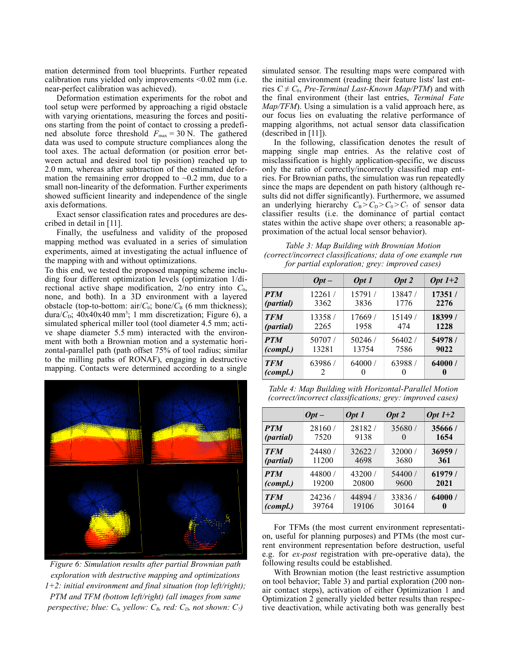mation determined from tool blueprints. Further repeated calibration runs yielded only improvements <0.02 mm (i.e. near-perfect calibration was achieved).

Deformation estimation experiments for the robot and tool setup were performed by approaching a rigid obstacle with varying orientations, measuring the forces and positions starting from the point of contact to crossing a predefined absolute force threshold  $F_{\text{max}} = 30 \text{ N}$ . The gathered data was used to compute structure compliances along the tool axes. The actual deformation (or position error between actual and desired tool tip position) reached up to 2.0 mm, whereas after subtraction of the estimated deformation the remaining error dropped to  $\sim 0.2$  mm, due to a small non-linearity of the deformation. Further experiments showed sufficient linearity and independence of the single axis deformations.

Exact sensor classification rates and procedures are described in detail in [11].

Finally, the usefulness and validity of the proposed mapping method was evaluated in a series of simulation experiments, aimed at investigating the actual influence of the mapping with and without optimizations.

To this end, we tested the proposed mapping scheme including four different optimization levels (optimization 1/directional active shape modification,  $2/no$  entry into  $C<sub>0</sub>$ , none, and both). In a 3D environment with a layered obstacle (top-to-bottom:  $\arccos C_0$ ; bone/ $C_B$  (6 mm thickness); dura/ $C_D$ ; 40x40x40 mm<sup>3</sup>; 1 mm discretization; Figure 6), a simulated spherical miller tool (tool diameter 4.5 mm; active shape diameter 5.5 mm) interacted with the environment with both a Brownian motion and a systematic horizontal-parallel path (path offset 75% of tool radius; similar to the milling paths of RONAF), engaging in destructive mapping. Contacts were determined according to a single



*Figure 6: Simulation results after partial Brownian path exploration with destructive mapping and optimizations 1+2: initial environment and final situation (top left/right); PTM and TFM (bottom left/right) (all images from same perspective; blue:*  $C_0$ *, yellow:*  $C_B$ *, red:*  $C_D$ *, not shown:*  $C_2$ *)* 

simulated sensor. The resulting maps were compared with the initial environment (reading their feature lists' last entries  $C \neq C_0$ , *Pre-Terminal Last-Known Map*/*PTM*) and with the final environment (their last entries, *Terminal Fate Map/TFM*). Using a simulation is a valid approach here, as our focus lies on evaluating the relative performance of mapping algorithms, not actual sensor data classification (described in [11]).

In the following, classification denotes the result of mapping single map entries. As the relative cost of misclassification is highly application-specific, we discuss only the ratio of correctly/incorrectly classified map entries. For Brownian paths, the simulation was run repeatedly since the maps are dependent on path history (although results did not differ significantly). Furthermore, we assumed an underlying hierarchy  $C_B > C_D > C_0 > C_2$  of sensor data classifier results (i.e. the dominance of partial contact states within the active shape over others; a reasonable approximation of the actual local sensor behavior).

*Table 3: Map Building with Brownian Motion (correct/incorrect classifications; data of one example run for partial exploration; grey: improved cases)*

|                        | $Opt-$  | Opt 1   | Opt 2  | Opt $1+2$ |
|------------------------|---------|---------|--------|-----------|
| <b>PTM</b>             | 12261 / | 15791/  | 13847/ | 17351/    |
| <i>(partial)</i>       | 3362    | 3836    | 1776   | 2276      |
| <b>TFM</b>             | 13358/  | 17669 / | 15149/ | 18399/    |
| <i>(partial)</i>       | 2265    | 1958    | 474    | 1228      |
| <b>PTM</b>             | 50707/  | 50246/  | 56402/ | 54978 /   |
| (compl.)               | 13281   | 13754   | 7586   | 9022      |
| <b>TFM</b><br>(compl.) | 63986/  | 64000 / | 63988/ | 64000 /   |

*Table 4: Map Building with Horizontal-Parallel Motion (correct/incorrect classifications; grey: improved cases)*

|                  | $Opt-$  | Opt 1   | Opt 2   | Opt $1+2$ |
|------------------|---------|---------|---------|-----------|
| <b>PTM</b>       | 28160/  | 28182/  | 35680/  | 35666/    |
| <i>(partial)</i> | 7520    | 9138    |         | 1654      |
| <b>TFM</b>       | 24480/  | 32622/  | 32000/  | 36959/    |
| <i>(partial)</i> | 11200   | 4698    | 3680    | 361       |
| <b>PTM</b>       | 44800 / | 43200 / | 54400 / | 61979/    |
| (compl.)         | 19200   | 20800   | 9600    | 2021      |
| <b>TFM</b>       | 24236/  | 44894 / | 33836/  | 64000 /   |
| (compl.)         | 39764   | 19106   | 30164   |           |

For TFMs (the most current environment representation, useful for planning purposes) and PTMs (the most current environment representation before destruction, useful e.g. for *ex-post* registration with pre-operative data), the following results could be established.

With Brownian motion (the least restrictive assumption on tool behavior; Table 3) and partial exploration (200 nonair contact steps), activation of either Optimization 1 and Optimization 2 generally yielded better results than respective deactivation, while activating both was generally best